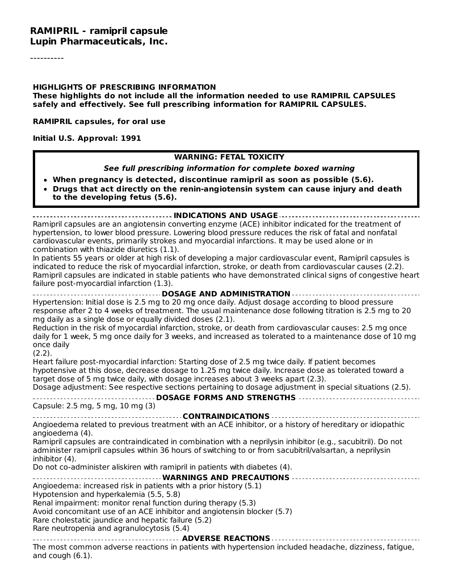#### **RAMIPRIL - ramipril capsule Lupin Pharmaceuticals, Inc.**

----------

#### **HIGHLIGHTS OF PRESCRIBING INFORMATION**

**These highlights do not include all the information needed to use RAMIPRIL CAPSULES safely and effectively. See full prescribing information for RAMIPRIL CAPSULES.**

**RAMIPRIL capsules, for oral use**

**Initial U.S. Approval: 1991**

#### **WARNING: FETAL TOXICITY**

#### **See full prescribing information for complete boxed warning**

- **When pregnancy is detected, discontinue ramipril as soon as possible (5.6).**
- **Drugs that act directly on the renin-angiotensin system can cause injury and death to the developing fetus (5.6).**

**INDICATIONS AND USAGE**

Ramipril capsules are an angiotensin converting enzyme (ACE) inhibitor indicated for the treatment of hypertension, to lower blood pressure. Lowering blood pressure reduces the risk of fatal and nonfatal cardiovascular events, primarily strokes and myocardial infarctions. It may be used alone or in combination with thiazide diuretics (1.1).

In patients 55 years or older at high risk of developing a major cardiovascular event, Ramipril capsules is indicated to reduce the risk of myocardial infarction, stroke, or death from cardiovascular causes (2.2). Ramipril capsules are indicated in stable patients who have demonstrated clinical signs of congestive heart failure post-myocardial infarction (1.3).

**DOSAGE AND ADMINISTRATION** Hypertension: Initial dose is 2.5 mg to 20 mg once daily. Adjust dosage according to blood pressure response after 2 to 4 weeks of treatment. The usual maintenance dose following titration is 2.5 mg to 20 mg daily as a single dose or equally divided doses (2.1). Reduction in the risk of myocardial infarction, stroke, or death from cardiovascular causes: 2.5 mg once daily for 1 week, 5 mg once daily for 3 weeks, and increased as tolerated to a maintenance dose of 10 mg once daily (2.2). Heart failure post-myocardial infarction: Starting dose of 2.5 mg twice daily. If patient becomes hypotensive at this dose, decrease dosage to 1.25 mg twice daily. Increase dose as tolerated toward a target dose of 5 mg twice daily, with dosage increases about 3 weeks apart (2.3). Dosage adjustment: See respective sections pertaining to dosage adjustment in special situations (2.5). **DOSAGE FORMS AND STRENGTHS** Capsule: 2.5 mg, 5 mg, 10 mg (3) **CONTRAINDICATIONS** Angioedema related to previous treatment with an ACE inhibitor, or a history of hereditary or idiopathic angioedema (4). Ramipril capsules are contraindicated in combination with a neprilysin inhibitor (e.g., sacubitril). Do not administer ramipril capsules within 36 hours of switching to or from sacubitril/valsartan, a neprilysin inhibitor (4). Do not co-administer aliskiren with ramipril in patients with diabetes (4). **WARNINGS AND PRECAUTIONS** Angioedema: increased risk in patients with a prior history (5.1) Hypotension and hyperkalemia (5.5, 5.8) Renal impairment: monitor renal function during therapy (5.3) Avoid concomitant use of an ACE inhibitor and angiotensin blocker (5.7) Rare cholestatic jaundice and hepatic failure (5.2) Rare neutropenia and agranulocytosis (5.4) **ADVERSE REACTIONS**

The most common adverse reactions in patients with hypertension included headache, dizziness, fatigue, and cough (6.1).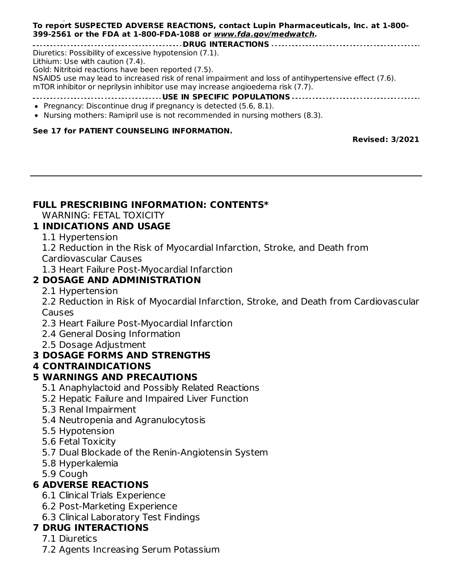#### and cough (6.1). **To report SUSPECTED ADVERSE REACTIONS, contact Lupin Pharmaceuticals, Inc. at 1-800- 399-2561 or the FDA at 1-800-FDA-1088 or www.fda.gov/medwatch.**

**DRUG INTERACTIONS**

Diuretics: Possibility of excessive hypotension (7.1).

Lithium: Use with caution (7.4).

Gold: Nitritoid reactions have been reported (7.5).

NSAIDS use may lead to increased risk of renal impairment and loss of antihypertensive effect (7.6). mTOR inhibitor or neprilysin inhibitor use may increase angioedema risk (7.7).

# **USE IN SPECIFIC POPULATIONS**

- Pregnancy: Discontinue drug if pregnancy is detected (5.6, 8.1).
- Nursing mothers: Ramipril use is not recommended in nursing mothers (8.3).

#### **See 17 for PATIENT COUNSELING INFORMATION.**

**Revised: 3/2021**

#### **FULL PRESCRIBING INFORMATION: CONTENTS\***

WARNING: FETAL TOXICITY

#### **1 INDICATIONS AND USAGE**

1.1 Hypertension

1.2 Reduction in the Risk of Myocardial Infarction, Stroke, and Death from

Cardiovascular Causes

1.3 Heart Failure Post-Myocardial Infarction

#### **2 DOSAGE AND ADMINISTRATION**

2.1 Hypertension

2.2 Reduction in Risk of Myocardial Infarction, Stroke, and Death from Cardiovascular Causes

- 2.3 Heart Failure Post-Myocardial Infarction
- 2.4 General Dosing Information
- 2.5 Dosage Adjustment

#### **3 DOSAGE FORMS AND STRENGTHS**

#### **4 CONTRAINDICATIONS**

#### **5 WARNINGS AND PRECAUTIONS**

- 5.1 Anaphylactoid and Possibly Related Reactions
- 5.2 Hepatic Failure and Impaired Liver Function
- 5.3 Renal Impairment
- 5.4 Neutropenia and Agranulocytosis
- 5.5 Hypotension
- 5.6 Fetal Toxicity
- 5.7 Dual Blockade of the Renin-Angiotensin System
- 5.8 Hyperkalemia
- 5.9 Cough

#### **6 ADVERSE REACTIONS**

- 6.1 Clinical Trials Experience
- 6.2 Post-Marketing Experience
- 6.3 Clinical Laboratory Test Findings

#### **7 DRUG INTERACTIONS**

- 7.1 Diuretics
- 7.2 Agents Increasing Serum Potassium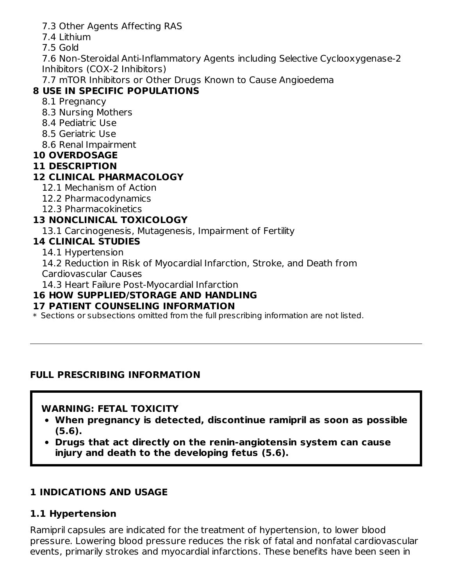- 7.3 Other Agents Affecting RAS
- 7.4 Lithium
- 7.5 Gold

7.6 Non-Steroidal Anti-Inflammatory Agents including Selective Cyclooxygenase-2 Inhibitors (COX-2 Inhibitors)

7.7 mTOR Inhibitors or Other Drugs Known to Cause Angioedema

## **8 USE IN SPECIFIC POPULATIONS**

- 8.1 Pregnancy
- 8.3 Nursing Mothers
- 8.4 Pediatric Use
- 8.5 Geriatric Use
- 8.6 Renal Impairment

### **10 OVERDOSAGE**

#### **11 DESCRIPTION**

### **12 CLINICAL PHARMACOLOGY**

- 12.1 Mechanism of Action
- 12.2 Pharmacodynamics
- 12.3 Pharmacokinetics

### **13 NONCLINICAL TOXICOLOGY**

13.1 Carcinogenesis, Mutagenesis, Impairment of Fertility

#### **14 CLINICAL STUDIES**

14.1 Hypertension

14.2 Reduction in Risk of Myocardial Infarction, Stroke, and Death from Cardiovascular Causes

14.3 Heart Failure Post-Myocardial Infarction

### **16 HOW SUPPLIED/STORAGE AND HANDLING**

### **17 PATIENT COUNSELING INFORMATION**

 $\ast$  Sections or subsections omitted from the full prescribing information are not listed.

### **FULL PRESCRIBING INFORMATION**

### **WARNING: FETAL TOXICITY**

- **When pregnancy is detected, discontinue ramipril as soon as possible (5.6).**
- **Drugs that act directly on the renin-angiotensin system can cause injury and death to the developing fetus (5.6).**

## **1 INDICATIONS AND USAGE**

## **1.1 Hypertension**

Ramipril capsules are indicated for the treatment of hypertension, to lower blood pressure. Lowering blood pressure reduces the risk of fatal and nonfatal cardiovascular events, primarily strokes and myocardial infarctions. These benefits have been seen in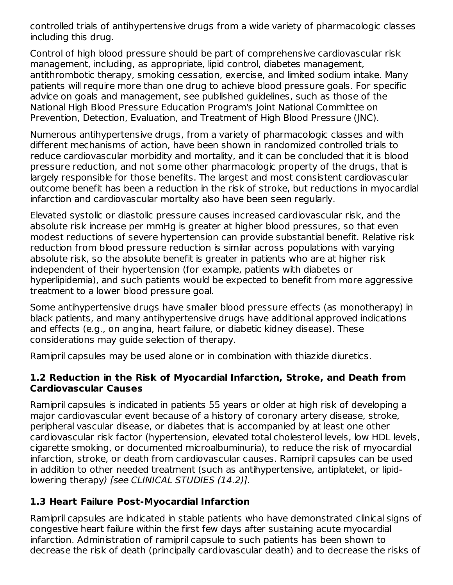controlled trials of antihypertensive drugs from a wide variety of pharmacologic classes including this drug.

Control of high blood pressure should be part of comprehensive cardiovascular risk management, including, as appropriate, lipid control, diabetes management, antithrombotic therapy, smoking cessation, exercise, and limited sodium intake. Many patients will require more than one drug to achieve blood pressure goals. For specific advice on goals and management, see published guidelines, such as those of the National High Blood Pressure Education Program's Joint National Committee on Prevention, Detection, Evaluation, and Treatment of High Blood Pressure (JNC).

Numerous antihypertensive drugs, from a variety of pharmacologic classes and with different mechanisms of action, have been shown in randomized controlled trials to reduce cardiovascular morbidity and mortality, and it can be concluded that it is blood pressure reduction, and not some other pharmacologic property of the drugs, that is largely responsible for those benefits. The largest and most consistent cardiovascular outcome benefit has been a reduction in the risk of stroke, but reductions in myocardial infarction and cardiovascular mortality also have been seen regularly.

Elevated systolic or diastolic pressure causes increased cardiovascular risk, and the absolute risk increase per mmHg is greater at higher blood pressures, so that even modest reductions of severe hypertension can provide substantial benefit. Relative risk reduction from blood pressure reduction is similar across populations with varying absolute risk, so the absolute benefit is greater in patients who are at higher risk independent of their hypertension (for example, patients with diabetes or hyperlipidemia), and such patients would be expected to benefit from more aggressive treatment to a lower blood pressure goal.

Some antihypertensive drugs have smaller blood pressure effects (as monotherapy) in black patients, and many antihypertensive drugs have additional approved indications and effects (e.g., on angina, heart failure, or diabetic kidney disease). These considerations may guide selection of therapy.

Ramipril capsules may be used alone or in combination with thiazide diuretics.

#### **1.2 Reduction in the Risk of Myocardial Infarction, Stroke, and Death from Cardiovascular Causes**

Ramipril capsules is indicated in patients 55 years or older at high risk of developing a major cardiovascular event because of a history of coronary artery disease, stroke, peripheral vascular disease, or diabetes that is accompanied by at least one other cardiovascular risk factor (hypertension, elevated total cholesterol levels, low HDL levels, cigarette smoking, or documented microalbuminuria), to reduce the risk of myocardial infarction, stroke, or death from cardiovascular causes. Ramipril capsules can be used in addition to other needed treatment (such as antihypertensive, antiplatelet, or lipidlowering therapy) [see CLINICAL STUDIES (14.2)].

### **1.3 Heart Failure Post-Myocardial Infarction**

Ramipril capsules are indicated in stable patients who have demonstrated clinical signs of congestive heart failure within the first few days after sustaining acute myocardial infarction. Administration of ramipril capsule to such patients has been shown to decrease the risk of death (principally cardiovascular death) and to decrease the risks of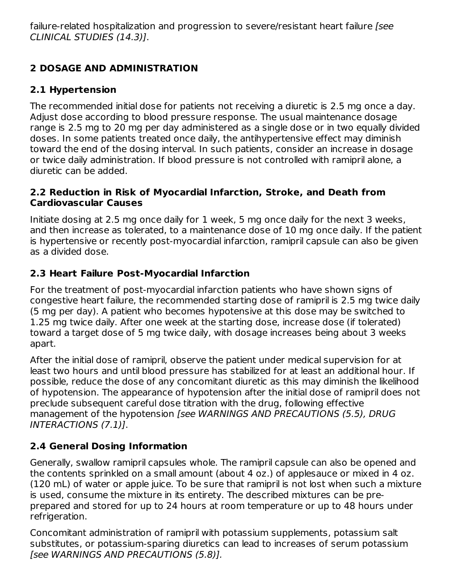failure-related hospitalization and progression to severe/resistant heart failure [see CLINICAL STUDIES (14.3)].

# **2 DOSAGE AND ADMINISTRATION**

## **2.1 Hypertension**

The recommended initial dose for patients not receiving a diuretic is 2.5 mg once a day. Adjust dose according to blood pressure response. The usual maintenance dosage range is 2.5 mg to 20 mg per day administered as a single dose or in two equally divided doses. In some patients treated once daily, the antihypertensive effect may diminish toward the end of the dosing interval. In such patients, consider an increase in dosage or twice daily administration. If blood pressure is not controlled with ramipril alone, a diuretic can be added.

#### **2.2 Reduction in Risk of Myocardial Infarction, Stroke, and Death from Cardiovascular Causes**

Initiate dosing at 2.5 mg once daily for 1 week, 5 mg once daily for the next 3 weeks, and then increase as tolerated, to a maintenance dose of 10 mg once daily. If the patient is hypertensive or recently post-myocardial infarction, ramipril capsule can also be given as a divided dose.

## **2.3 Heart Failure Post-Myocardial Infarction**

For the treatment of post-myocardial infarction patients who have shown signs of congestive heart failure, the recommended starting dose of ramipril is 2.5 mg twice daily (5 mg per day). A patient who becomes hypotensive at this dose may be switched to 1.25 mg twice daily. After one week at the starting dose, increase dose (if tolerated) toward a target dose of 5 mg twice daily, with dosage increases being about 3 weeks apart.

After the initial dose of ramipril, observe the patient under medical supervision for at least two hours and until blood pressure has stabilized for at least an additional hour. If possible, reduce the dose of any concomitant diuretic as this may diminish the likelihood of hypotension. The appearance of hypotension after the initial dose of ramipril does not preclude subsequent careful dose titration with the drug, following effective management of the hypotension [see WARNINGS AND PRECAUTIONS (5.5), DRUG INTERACTIONS (7.1)].

## **2.4 General Dosing Information**

Generally, swallow ramipril capsules whole. The ramipril capsule can also be opened and the contents sprinkled on a small amount (about 4 oz.) of applesauce or mixed in 4 oz. (120 mL) of water or apple juice. To be sure that ramipril is not lost when such a mixture is used, consume the mixture in its entirety. The described mixtures can be preprepared and stored for up to 24 hours at room temperature or up to 48 hours under refrigeration.

Concomitant administration of ramipril with potassium supplements, potassium salt substitutes, or potassium-sparing diuretics can lead to increases of serum potassium [see WARNINGS AND PRECAUTIONS (5.8)].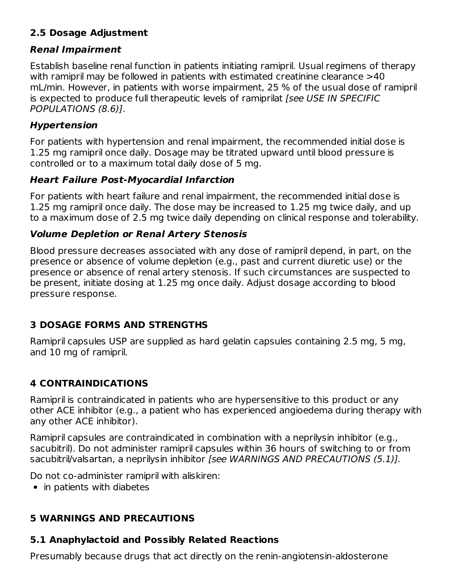### **2.5 Dosage Adjustment**

### **Renal Impairment**

Establish baseline renal function in patients initiating ramipril. Usual regimens of therapy with ramipril may be followed in patients with estimated creatinine clearance >40 mL/min. However, in patients with worse impairment, 25 % of the usual dose of ramipril is expected to produce full therapeutic levels of ramiprilat [see USE IN SPECIFIC POPULATIONS (8.6)].

### **Hypertension**

For patients with hypertension and renal impairment, the recommended initial dose is 1.25 mg ramipril once daily. Dosage may be titrated upward until blood pressure is controlled or to a maximum total daily dose of 5 mg.

### **Heart Failure Post-Myocardial Infarction**

For patients with heart failure and renal impairment, the recommended initial dose is 1.25 mg ramipril once daily. The dose may be increased to 1.25 mg twice daily, and up to a maximum dose of 2.5 mg twice daily depending on clinical response and tolerability.

### **Volume Depletion or Renal Artery Stenosis**

Blood pressure decreases associated with any dose of ramipril depend, in part, on the presence or absence of volume depletion (e.g., past and current diuretic use) or the presence or absence of renal artery stenosis. If such circumstances are suspected to be present, initiate dosing at 1.25 mg once daily. Adjust dosage according to blood pressure response.

## **3 DOSAGE FORMS AND STRENGTHS**

Ramipril capsules USP are supplied as hard gelatin capsules containing 2.5 mg, 5 mg, and 10 mg of ramipril.

# **4 CONTRAINDICATIONS**

Ramipril is contraindicated in patients who are hypersensitive to this product or any other ACE inhibitor (e.g., a patient who has experienced angioedema during therapy with any other ACE inhibitor).

Ramipril capsules are contraindicated in combination with a neprilysin inhibitor (e.g., sacubitril). Do not administer ramipril capsules within 36 hours of switching to or from sacubitril/valsartan, a neprilysin inhibitor [see WARNINGS AND PRECAUTIONS (5.1)].

Do not co-administer ramipril with aliskiren:

• in patients with diabetes

## **5 WARNINGS AND PRECAUTIONS**

## **5.1 Anaphylactoid and Possibly Related Reactions**

Presumably because drugs that act directly on the renin-angiotensin-aldosterone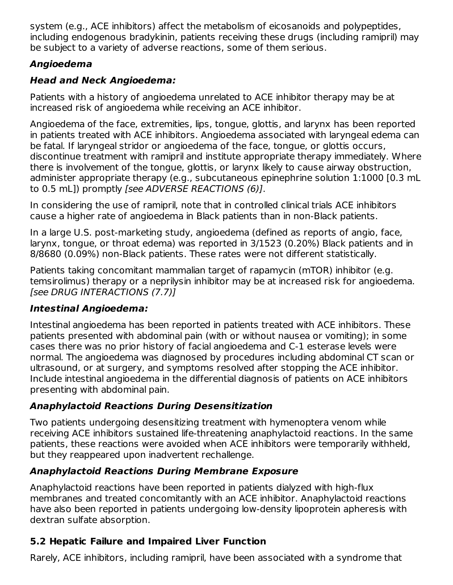system (e.g., ACE inhibitors) affect the metabolism of eicosanoids and polypeptides, including endogenous bradykinin, patients receiving these drugs (including ramipril) may be subject to a variety of adverse reactions, some of them serious.

# **Angioedema**

# **Head and Neck Angioedema:**

Patients with a history of angioedema unrelated to ACE inhibitor therapy may be at increased risk of angioedema while receiving an ACE inhibitor.

Angioedema of the face, extremities, lips, tongue, glottis, and larynx has been reported in patients treated with ACE inhibitors. Angioedema associated with laryngeal edema can be fatal. If laryngeal stridor or angioedema of the face, tongue, or glottis occurs, discontinue treatment with ramipril and institute appropriate therapy immediately. Where there is involvement of the tongue, glottis, or larynx likely to cause airway obstruction, administer appropriate therapy (e.g., subcutaneous epinephrine solution 1:1000 [0.3 mL to 0.5 mL]) promptly [see ADVERSE REACTIONS (6)].

In considering the use of ramipril, note that in controlled clinical trials ACE inhibitors cause a higher rate of angioedema in Black patients than in non-Black patients.

In a large U.S. post-marketing study, angioedema (defined as reports of angio, face, larynx, tongue, or throat edema) was reported in 3/1523 (0.20%) Black patients and in 8/8680 (0.09%) non-Black patients. These rates were not different statistically.

Patients taking concomitant mammalian target of rapamycin (mTOR) inhibitor (e.g. temsirolimus) therapy or a neprilysin inhibitor may be at increased risk for angioedema. [see DRUG INTERACTIONS (7.7)]

## **Intestinal Angioedema:**

Intestinal angioedema has been reported in patients treated with ACE inhibitors. These patients presented with abdominal pain (with or without nausea or vomiting); in some cases there was no prior history of facial angioedema and C-1 esterase levels were normal. The angioedema was diagnosed by procedures including abdominal CT scan or ultrasound, or at surgery, and symptoms resolved after stopping the ACE inhibitor. Include intestinal angioedema in the differential diagnosis of patients on ACE inhibitors presenting with abdominal pain.

# **Anaphylactoid Reactions During Desensitization**

Two patients undergoing desensitizing treatment with hymenoptera venom while receiving ACE inhibitors sustained life-threatening anaphylactoid reactions. In the same patients, these reactions were avoided when ACE inhibitors were temporarily withheld, but they reappeared upon inadvertent rechallenge.

# **Anaphylactoid Reactions During Membrane Exposure**

Anaphylactoid reactions have been reported in patients dialyzed with high-flux membranes and treated concomitantly with an ACE inhibitor. Anaphylactoid reactions have also been reported in patients undergoing low-density lipoprotein apheresis with dextran sulfate absorption.

# **5.2 Hepatic Failure and Impaired Liver Function**

Rarely, ACE inhibitors, including ramipril, have been associated with a syndrome that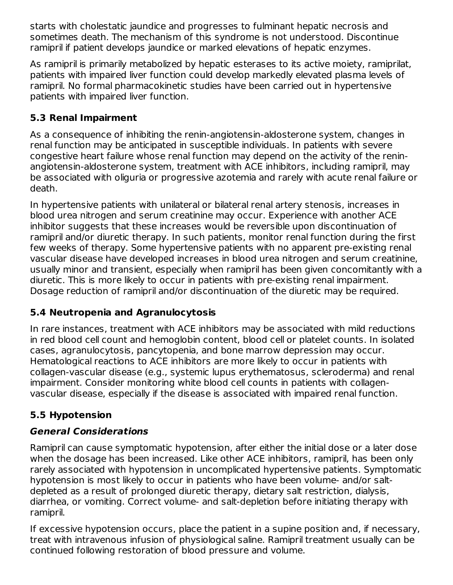starts with cholestatic jaundice and progresses to fulminant hepatic necrosis and sometimes death. The mechanism of this syndrome is not understood. Discontinue ramipril if patient develops jaundice or marked elevations of hepatic enzymes.

As ramipril is primarily metabolized by hepatic esterases to its active moiety, ramiprilat, patients with impaired liver function could develop markedly elevated plasma levels of ramipril. No formal pharmacokinetic studies have been carried out in hypertensive patients with impaired liver function.

## **5.3 Renal Impairment**

As a consequence of inhibiting the renin-angiotensin-aldosterone system, changes in renal function may be anticipated in susceptible individuals. In patients with severe congestive heart failure whose renal function may depend on the activity of the reninangiotensin-aldosterone system, treatment with ACE inhibitors, including ramipril, may be associated with oliguria or progressive azotemia and rarely with acute renal failure or death.

In hypertensive patients with unilateral or bilateral renal artery stenosis, increases in blood urea nitrogen and serum creatinine may occur. Experience with another ACE inhibitor suggests that these increases would be reversible upon discontinuation of ramipril and/or diuretic therapy. In such patients, monitor renal function during the first few weeks of therapy. Some hypertensive patients with no apparent pre-existing renal vascular disease have developed increases in blood urea nitrogen and serum creatinine, usually minor and transient, especially when ramipril has been given concomitantly with a diuretic. This is more likely to occur in patients with pre-existing renal impairment. Dosage reduction of ramipril and/or discontinuation of the diuretic may be required.

### **5.4 Neutropenia and Agranulocytosis**

In rare instances, treatment with ACE inhibitors may be associated with mild reductions in red blood cell count and hemoglobin content, blood cell or platelet counts. In isolated cases, agranulocytosis, pancytopenia, and bone marrow depression may occur. Hematological reactions to ACE inhibitors are more likely to occur in patients with collagen-vascular disease (e.g., systemic lupus erythematosus, scleroderma) and renal impairment. Consider monitoring white blood cell counts in patients with collagenvascular disease, especially if the disease is associated with impaired renal function.

## **5.5 Hypotension**

### **General Considerations**

Ramipril can cause symptomatic hypotension, after either the initial dose or a later dose when the dosage has been increased. Like other ACE inhibitors, ramipril, has been only rarely associated with hypotension in uncomplicated hypertensive patients. Symptomatic hypotension is most likely to occur in patients who have been volume- and/or saltdepleted as a result of prolonged diuretic therapy, dietary salt restriction, dialysis, diarrhea, or vomiting. Correct volume- and salt-depletion before initiating therapy with ramipril.

If excessive hypotension occurs, place the patient in a supine position and, if necessary, treat with intravenous infusion of physiological saline. Ramipril treatment usually can be continued following restoration of blood pressure and volume.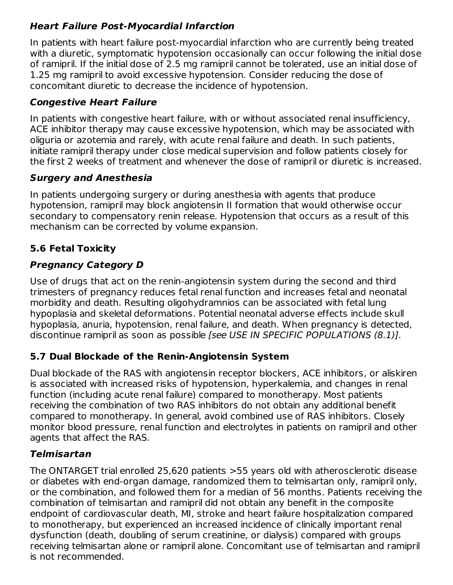## **Heart Failure Post-Myocardial Infarction**

In patients with heart failure post-myocardial infarction who are currently being treated with a diuretic, symptomatic hypotension occasionally can occur following the initial dose of ramipril. If the initial dose of 2.5 mg ramipril cannot be tolerated, use an initial dose of 1.25 mg ramipril to avoid excessive hypotension. Consider reducing the dose of concomitant diuretic to decrease the incidence of hypotension.

### **Congestive Heart Failure**

In patients with congestive heart failure, with or without associated renal insufficiency, ACE inhibitor therapy may cause excessive hypotension, which may be associated with oliguria or azotemia and rarely, with acute renal failure and death. In such patients, initiate ramipril therapy under close medical supervision and follow patients closely for the first 2 weeks of treatment and whenever the dose of ramipril or diuretic is increased.

### **Surgery and Anesthesia**

In patients undergoing surgery or during anesthesia with agents that produce hypotension, ramipril may block angiotensin II formation that would otherwise occur secondary to compensatory renin release. Hypotension that occurs as a result of this mechanism can be corrected by volume expansion.

# **5.6 Fetal Toxicity**

# **Pregnancy Category D**

Use of drugs that act on the renin-angiotensin system during the second and third trimesters of pregnancy reduces fetal renal function and increases fetal and neonatal morbidity and death. Resulting oligohydramnios can be associated with fetal lung hypoplasia and skeletal deformations. Potential neonatal adverse effects include skull hypoplasia, anuria, hypotension, renal failure, and death. When pregnancy is detected, discontinue ramipril as soon as possible [see USE IN SPECIFIC POPULATIONS (8.1)].

## **5.7 Dual Blockade of the Renin-Angiotensin System**

Dual blockade of the RAS with angiotensin receptor blockers, ACE inhibitors, or aliskiren is associated with increased risks of hypotension, hyperkalemia, and changes in renal function (including acute renal failure) compared to monotherapy. Most patients receiving the combination of two RAS inhibitors do not obtain any additional benefit compared to monotherapy. In general, avoid combined use of RAS inhibitors. Closely monitor blood pressure, renal function and electrolytes in patients on ramipril and other agents that affect the RAS.

## **Telmisartan**

The ONTARGET trial enrolled 25,620 patients >55 years old with atherosclerotic disease or diabetes with end-organ damage, randomized them to telmisartan only, ramipril only, or the combination, and followed them for a median of 56 months. Patients receiving the combination of telmisartan and ramipril did not obtain any benefit in the composite endpoint of cardiovascular death, MI, stroke and heart failure hospitalization compared to monotherapy, but experienced an increased incidence of clinically important renal dysfunction (death, doubling of serum creatinine, or dialysis) compared with groups receiving telmisartan alone or ramipril alone. Concomitant use of telmisartan and ramipril is not recommended.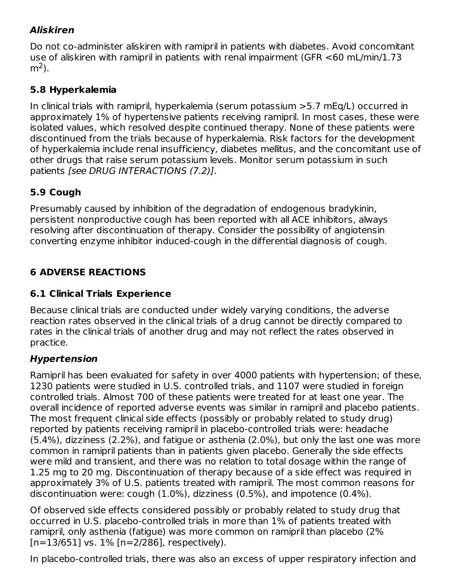## **Aliskiren**

Do not co-administer aliskiren with ramipril in patients with diabetes. Avoid concomitant use of aliskiren with ramipril in patients with renal impairment (GFR <60 mL/min/1.73 m<sup>2</sup>).

#### **5.8 Hyperkalemia**

In clinical trials with ramipril, hyperkalemia (serum potassium >5.7 mEq/L) occurred in approximately 1% of hypertensive patients receiving ramipril. In most cases, these were isolated values, which resolved despite continued therapy. None of these patients were discontinued from the trials because of hyperkalemia. Risk factors for the development of hyperkalemia include renal insufficiency, diabetes mellitus, and the concomitant use of other drugs that raise serum potassium levels. Monitor serum potassium in such patients [see DRUG INTERACTIONS (7.2)].

### **5.9 Cough**

Presumably caused by inhibition of the degradation of endogenous bradykinin, persistent nonproductive cough has been reported with all ACE inhibitors, always resolving after discontinuation of therapy. Consider the possibility of angiotensin converting enzyme inhibitor induced-cough in the differential diagnosis of cough.

## **6 ADVERSE REACTIONS**

### **6.1 Clinical Trials Experience**

Because clinical trials are conducted under widely varying conditions, the adverse reaction rates observed in the clinical trials of a drug cannot be directly compared to rates in the clinical trials of another drug and may not reflect the rates observed in practice.

### **Hypertension**

Ramipril has been evaluated for safety in over 4000 patients with hypertension; of these, 1230 patients were studied in U.S. controlled trials, and 1107 were studied in foreign controlled trials. Almost 700 of these patients were treated for at least one year. The overall incidence of reported adverse events was similar in ramipril and placebo patients. The most frequent clinical side effects (possibly or probably related to study drug) reported by patients receiving ramipril in placebo-controlled trials were: headache (5.4%), dizziness (2.2%), and fatigue or asthenia (2.0%), but only the last one was more common in ramipril patients than in patients given placebo. Generally the side effects were mild and transient, and there was no relation to total dosage within the range of 1.25 mg to 20 mg. Discontinuation of therapy because of a side effect was required in approximately 3% of U.S. patients treated with ramipril. The most common reasons for discontinuation were: cough (1.0%), dizziness (0.5%), and impotence (0.4%).

Of observed side effects considered possibly or probably related to study drug that occurred in U.S. placebo-controlled trials in more than 1% of patients treated with ramipril, only asthenia (fatigue) was more common on ramipril than placebo (2%  $[n=13/651]$  vs.  $1\%$   $[n=2/286]$ , respectively).

In placebo-controlled trials, there was also an excess of upper respiratory infection and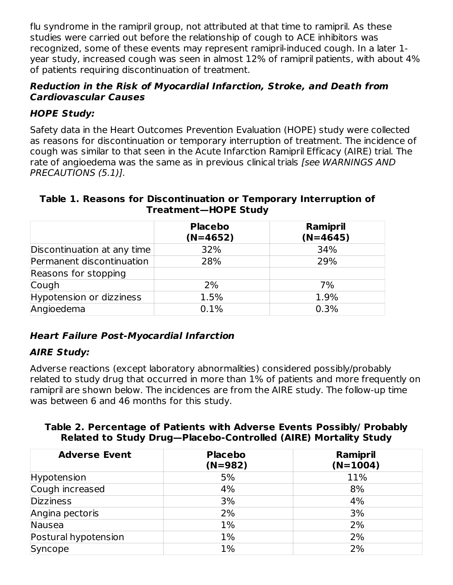flu syndrome in the ramipril group, not attributed at that time to ramipril. As these studies were carried out before the relationship of cough to ACE inhibitors was recognized, some of these events may represent ramipril-induced cough. In a later 1 year study, increased cough was seen in almost 12% of ramipril patients, with about 4% of patients requiring discontinuation of treatment.

#### **Reduction in the Risk of Myocardial Infarction, Stroke, and Death from Cardiovascular Causes**

## **HOPE Study:**

Safety data in the Heart Outcomes Prevention Evaluation (HOPE) study were collected as reasons for discontinuation or temporary interruption of treatment. The incidence of cough was similar to that seen in the Acute Infarction Ramipril Efficacy (AIRE) trial. The rate of angioedema was the same as in previous clinical trials [see WARNINGS AND PRECAUTIONS (5.1)].

#### **Table 1. Reasons for Discontinuation or Temporary Interruption of Treatment—HOPE Study**

|                             | <b>Placebo</b><br>$(N=4652)$ | Ramipril<br>$(N=4645)$ |
|-----------------------------|------------------------------|------------------------|
| Discontinuation at any time | 32%                          | 34%                    |
| Permanent discontinuation   | 28%                          | 29%                    |
| Reasons for stopping        |                              |                        |
| Cough                       | 2%                           | 7%                     |
| Hypotension or dizziness    | 1.5%                         | 1.9%                   |
| Angioedema                  | 0.1%                         | 0.3%                   |

## **Heart Failure Post-Myocardial Infarction**

## **AIRE Study:**

Adverse reactions (except laboratory abnormalities) considered possibly/probably related to study drug that occurred in more than 1% of patients and more frequently on ramipril are shown below. The incidences are from the AIRE study. The follow-up time was between 6 and 46 months for this study.

#### **Table 2. Percentage of Patients with Adverse Events Possibly/ Probably Related to Study Drug—Placebo-Controlled (AIRE) Mortality Study**

| <b>Adverse Event</b> | <b>Placebo</b><br>$(N=982)$ | Ramipril<br>$(N=1004)$ |
|----------------------|-----------------------------|------------------------|
| Hypotension          | 5%                          | 11%                    |
| Cough increased      | 4%                          | 8%                     |
| <b>Dizziness</b>     | 3%                          | 4%                     |
| Angina pectoris      | 2%                          | 3%                     |
| Nausea               | 1%                          | 2%                     |
| Postural hypotension | 1%                          | 2%                     |
| Syncope              | $1\%$                       | 2%                     |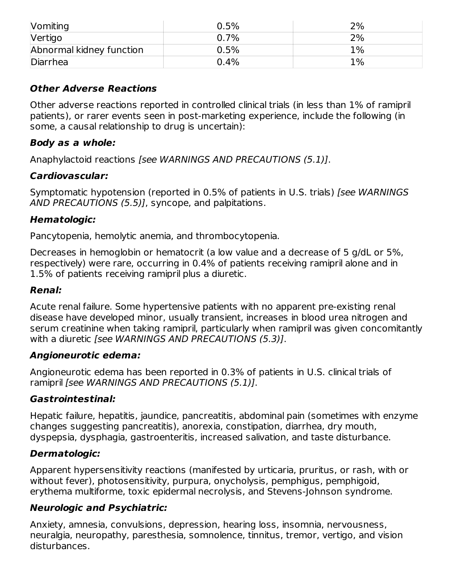| Vomiting                 | 0.5%    | 2%    |
|--------------------------|---------|-------|
| Vertigo                  | $0.7\%$ | 2%    |
| Abnormal kidney function | 0.5%    | $1\%$ |
| Diarrhea                 | 0.4%    | 1%    |

#### **Other Adverse Reactions**

Other adverse reactions reported in controlled clinical trials (in less than 1% of ramipril patients), or rarer events seen in post-marketing experience, include the following (in some, a causal relationship to drug is uncertain):

#### **Body as a whole:**

Anaphylactoid reactions [see WARNINGS AND PRECAUTIONS (5.1)].

### **Cardiovascular:**

Symptomatic hypotension (reported in 0.5% of patients in U.S. trials) [see WARNINGS] AND PRECAUTIONS (5.5)], syncope, and palpitations.

### **Hematologic:**

Pancytopenia, hemolytic anemia, and thrombocytopenia.

Decreases in hemoglobin or hematocrit (a low value and a decrease of 5 g/dL or 5%, respectively) were rare, occurring in 0.4% of patients receiving ramipril alone and in 1.5% of patients receiving ramipril plus a diuretic.

#### **Renal:**

Acute renal failure. Some hypertensive patients with no apparent pre-existing renal disease have developed minor, usually transient, increases in blood urea nitrogen and serum creatinine when taking ramipril, particularly when ramipril was given concomitantly with a diuretic [see WARNINGS AND PRECAUTIONS (5.3)].

#### **Angioneurotic edema:**

Angioneurotic edema has been reported in 0.3% of patients in U.S. clinical trials of ramipril [see WARNINGS AND PRECAUTIONS (5.1)].

### **Gastrointestinal:**

Hepatic failure, hepatitis, jaundice, pancreatitis, abdominal pain (sometimes with enzyme changes suggesting pancreatitis), anorexia, constipation, diarrhea, dry mouth, dyspepsia, dysphagia, gastroenteritis, increased salivation, and taste disturbance.

### **Dermatologic:**

Apparent hypersensitivity reactions (manifested by urticaria, pruritus, or rash, with or without fever), photosensitivity, purpura, onycholysis, pemphigus, pemphigoid, erythema multiforme, toxic epidermal necrolysis, and Stevens-Johnson syndrome.

### **Neurologic and Psychiatric:**

Anxiety, amnesia, convulsions, depression, hearing loss, insomnia, nervousness, neuralgia, neuropathy, paresthesia, somnolence, tinnitus, tremor, vertigo, and vision disturbances.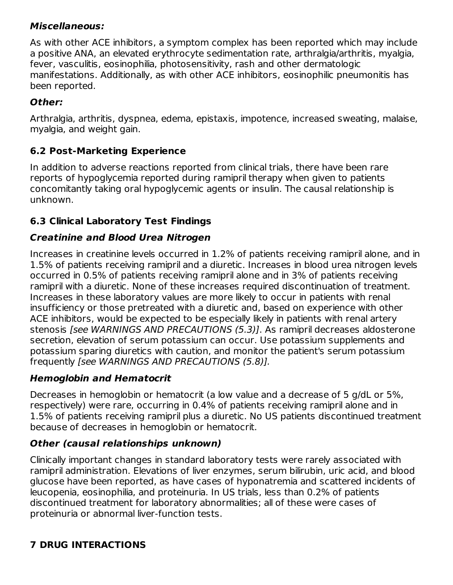### **Miscellaneous:**

As with other ACE inhibitors, a symptom complex has been reported which may include a positive ANA, an elevated erythrocyte sedimentation rate, arthralgia/arthritis, myalgia, fever, vasculitis, eosinophilia, photosensitivity, rash and other dermatologic manifestations. Additionally, as with other ACE inhibitors, eosinophilic pneumonitis has been reported.

### **Other:**

Arthralgia, arthritis, dyspnea, edema, epistaxis, impotence, increased sweating, malaise, myalgia, and weight gain.

### **6.2 Post-Marketing Experience**

In addition to adverse reactions reported from clinical trials, there have been rare reports of hypoglycemia reported during ramipril therapy when given to patients concomitantly taking oral hypoglycemic agents or insulin. The causal relationship is unknown.

### **6.3 Clinical Laboratory Test Findings**

### **Creatinine and Blood Urea Nitrogen**

Increases in creatinine levels occurred in 1.2% of patients receiving ramipril alone, and in 1.5% of patients receiving ramipril and a diuretic. Increases in blood urea nitrogen levels occurred in 0.5% of patients receiving ramipril alone and in 3% of patients receiving ramipril with a diuretic. None of these increases required discontinuation of treatment. Increases in these laboratory values are more likely to occur in patients with renal insufficiency or those pretreated with a diuretic and, based on experience with other ACE inhibitors, would be expected to be especially likely in patients with renal artery stenosis [see WARNINGS AND PRECAUTIONS (5.3)]. As ramipril decreases aldosterone secretion, elevation of serum potassium can occur. Use potassium supplements and potassium sparing diuretics with caution, and monitor the patient's serum potassium frequently [see WARNINGS AND PRECAUTIONS (5.8)].

### **Hemoglobin and Hematocrit**

Decreases in hemoglobin or hematocrit (a low value and a decrease of 5 g/dL or 5%, respectively) were rare, occurring in 0.4% of patients receiving ramipril alone and in 1.5% of patients receiving ramipril plus a diuretic. No US patients discontinued treatment because of decreases in hemoglobin or hematocrit.

### **Other (causal relationships unknown)**

Clinically important changes in standard laboratory tests were rarely associated with ramipril administration. Elevations of liver enzymes, serum bilirubin, uric acid, and blood glucose have been reported, as have cases of hyponatremia and scattered incidents of leucopenia, eosinophilia, and proteinuria. In US trials, less than 0.2% of patients discontinued treatment for laboratory abnormalities; all of these were cases of proteinuria or abnormal liver-function tests.

## **7 DRUG INTERACTIONS**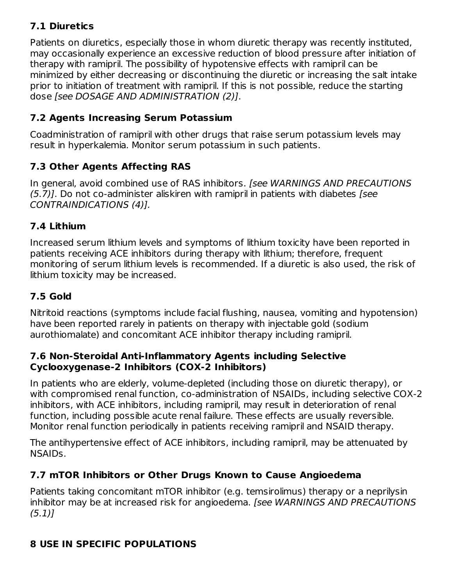## **7.1 Diuretics**

Patients on diuretics, especially those in whom diuretic therapy was recently instituted, may occasionally experience an excessive reduction of blood pressure after initiation of therapy with ramipril. The possibility of hypotensive effects with ramipril can be minimized by either decreasing or discontinuing the diuretic or increasing the salt intake prior to initiation of treatment with ramipril. If this is not possible, reduce the starting dose [see DOSAGE AND ADMINISTRATION (2)].

### **7.2 Agents Increasing Serum Potassium**

Coadministration of ramipril with other drugs that raise serum potassium levels may result in hyperkalemia. Monitor serum potassium in such patients.

### **7.3 Other Agents Affecting RAS**

In general, avoid combined use of RAS inhibitors. [see WARNINGS AND PRECAUTIONS (5.7)]. Do not co-administer aliskiren with ramipril in patients with diabetes [see CONTRAINDICATIONS (4)].

### **7.4 Lithium**

Increased serum lithium levels and symptoms of lithium toxicity have been reported in patients receiving ACE inhibitors during therapy with lithium; therefore, frequent monitoring of serum lithium levels is recommended. If a diuretic is also used, the risk of lithium toxicity may be increased.

### **7.5 Gold**

Nitritoid reactions (symptoms include facial flushing, nausea, vomiting and hypotension) have been reported rarely in patients on therapy with injectable gold (sodium aurothiomalate) and concomitant ACE inhibitor therapy including ramipril.

#### **7.6 Non-Steroidal Anti-Inflammatory Agents including Selective Cyclooxygenase-2 Inhibitors (COX-2 Inhibitors)**

In patients who are elderly, volume-depleted (including those on diuretic therapy), or with compromised renal function, co-administration of NSAIDs, including selective COX-2 inhibitors, with ACE inhibitors, including ramipril, may result in deterioration of renal function, including possible acute renal failure. These effects are usually reversible. Monitor renal function periodically in patients receiving ramipril and NSAID therapy.

The antihypertensive effect of ACE inhibitors, including ramipril, may be attenuated by NSAIDs.

### **7.7 mTOR Inhibitors or Other Drugs Known to Cause Angioedema**

Patients taking concomitant mTOR inhibitor (e.g. temsirolimus) therapy or a neprilysin inhibitor may be at increased risk for angioedema. [see WARNINGS AND PRECAUTIONS  $(5.1)$ ]

### **8 USE IN SPECIFIC POPULATIONS**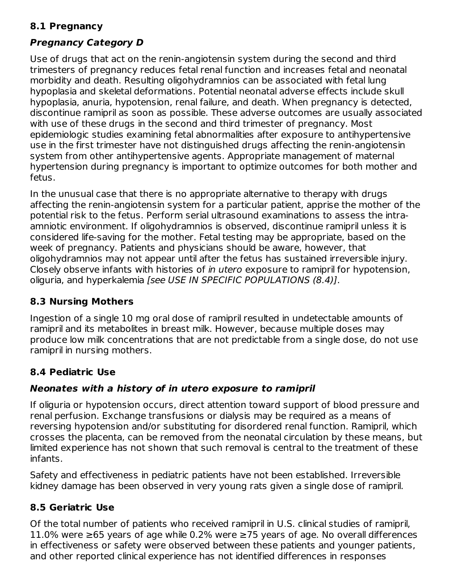### **8.1 Pregnancy**

### **Pregnancy Category D**

Use of drugs that act on the renin-angiotensin system during the second and third trimesters of pregnancy reduces fetal renal function and increases fetal and neonatal morbidity and death. Resulting oligohydramnios can be associated with fetal lung hypoplasia and skeletal deformations. Potential neonatal adverse effects include skull hypoplasia, anuria, hypotension, renal failure, and death. When pregnancy is detected, discontinue ramipril as soon as possible. These adverse outcomes are usually associated with use of these drugs in the second and third trimester of pregnancy. Most epidemiologic studies examining fetal abnormalities after exposure to antihypertensive use in the first trimester have not distinguished drugs affecting the renin-angiotensin system from other antihypertensive agents. Appropriate management of maternal hypertension during pregnancy is important to optimize outcomes for both mother and fetus.

In the unusual case that there is no appropriate alternative to therapy with drugs affecting the renin-angiotensin system for a particular patient, apprise the mother of the potential risk to the fetus. Perform serial ultrasound examinations to assess the intraamniotic environment. If oligohydramnios is observed, discontinue ramipril unless it is considered life-saving for the mother. Fetal testing may be appropriate, based on the week of pregnancy. Patients and physicians should be aware, however, that oligohydramnios may not appear until after the fetus has sustained irreversible injury. Closely observe infants with histories of in utero exposure to ramipril for hypotension, oliguria, and hyperkalemia [see USE IN SPECIFIC POPULATIONS (8.4)].

## **8.3 Nursing Mothers**

Ingestion of a single 10 mg oral dose of ramipril resulted in undetectable amounts of ramipril and its metabolites in breast milk. However, because multiple doses may produce low milk concentrations that are not predictable from a single dose, do not use ramipril in nursing mothers.

## **8.4 Pediatric Use**

### **Neonates with a history of in utero exposure to ramipril**

If oliguria or hypotension occurs, direct attention toward support of blood pressure and renal perfusion. Exchange transfusions or dialysis may be required as a means of reversing hypotension and/or substituting for disordered renal function. Ramipril, which crosses the placenta, can be removed from the neonatal circulation by these means, but limited experience has not shown that such removal is central to the treatment of these infants.

Safety and effectiveness in pediatric patients have not been established. Irreversible kidney damage has been observed in very young rats given a single dose of ramipril.

## **8.5 Geriatric Use**

Of the total number of patients who received ramipril in U.S. clinical studies of ramipril, 11.0% were ≥65 years of age while 0.2% were ≥75 years of age. No overall differences in effectiveness or safety were observed between these patients and younger patients, and other reported clinical experience has not identified differences in responses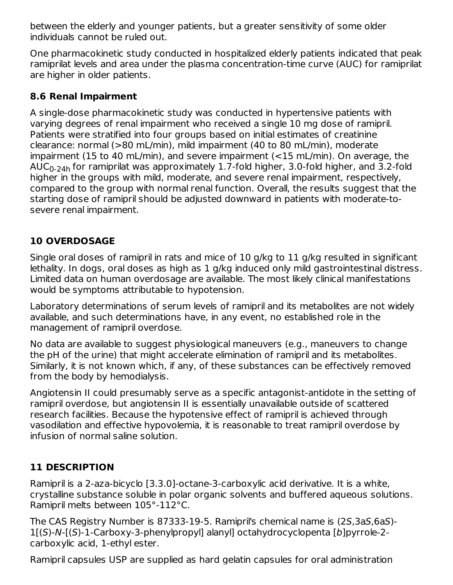between the elderly and younger patients, but a greater sensitivity of some older individuals cannot be ruled out.

One pharmacokinetic study conducted in hospitalized elderly patients indicated that peak ramiprilat levels and area under the plasma concentration-time curve (AUC) for ramiprilat are higher in older patients.

### **8.6 Renal Impairment**

A single-dose pharmacokinetic study was conducted in hypertensive patients with varying degrees of renal impairment who received a single 10 mg dose of ramipril. Patients were stratified into four groups based on initial estimates of creatinine clearance: normal (>80 mL/min), mild impairment (40 to 80 mL/min), moderate impairment (15 to 40 mL/min), and severe impairment (<15 mL/min). On average, the  $\mathsf{AUC}_{0\text{-}24\mathsf{h}}$  for ramiprilat was approximately  $1.7\text{-}$ fold higher, 3.0-fold higher, and 3.2-fold higher in the groups with mild, moderate, and severe renal impairment, respectively, compared to the group with normal renal function. Overall, the results suggest that the starting dose of ramipril should be adjusted downward in patients with moderate-tosevere renal impairment.

# **10 OVERDOSAGE**

Single oral doses of ramipril in rats and mice of 10 g/kg to 11 g/kg resulted in significant lethality. In dogs, oral doses as high as 1 g/kg induced only mild gastrointestinal distress. Limited data on human overdosage are available. The most likely clinical manifestations would be symptoms attributable to hypotension.

Laboratory determinations of serum levels of ramipril and its metabolites are not widely available, and such determinations have, in any event, no established role in the management of ramipril overdose.

No data are available to suggest physiological maneuvers (e.g., maneuvers to change the pH of the urine) that might accelerate elimination of ramipril and its metabolites. Similarly, it is not known which, if any, of these substances can be effectively removed from the body by hemodialysis.

Angiotensin II could presumably serve as a specific antagonist-antidote in the setting of ramipril overdose, but angiotensin II is essentially unavailable outside of scattered research facilities. Because the hypotensive effect of ramipril is achieved through vasodilation and effective hypovolemia, it is reasonable to treat ramipril overdose by infusion of normal saline solution.

## **11 DESCRIPTION**

Ramipril is a 2-aza-bicyclo [3.3.0]-octane-3-carboxylic acid derivative. It is a white, crystalline substance soluble in polar organic solvents and buffered aqueous solutions. Ramipril melts between 105°-112°C.

The CAS Registry Number is 87333-19-5. Ramipril's chemical name is (2S,3aS,6aS)- 1[(S)-N-[(S)-1-Carboxy-3-phenylpropyl] alanyl] octahydrocyclopenta [b]pyrrole-2 carboxylic acid, 1-ethyl ester.

Ramipril capsules USP are supplied as hard gelatin capsules for oral administration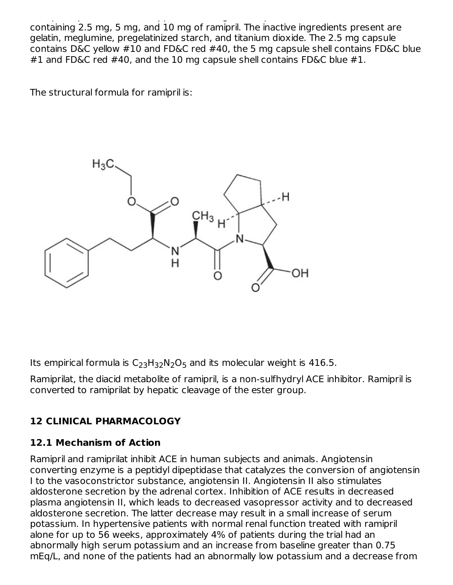Ramipril capsules USP are supplied as hard gelatin capsules for oral administration containing 2.5 mg, 5 mg, and 10 mg of ramipril. The inactive ingredients present are gelatin, meglumine, pregelatinized starch, and titanium dioxide. The 2.5 mg capsule contains D&C yellow #10 and FD&C red #40, the 5 mg capsule shell contains FD&C blue #1 and FD&C red #40, and the 10 mg capsule shell contains FD&C blue #1.

The structural formula for ramipril is:



Its empirical formula is  $C_{23}H_{32}N_2O_5$  and its molecular weight is 416.5.

Ramiprilat, the diacid metabolite of ramipril, is a non-sulfhydryl ACE inhibitor. Ramipril is converted to ramiprilat by hepatic cleavage of the ester group.

# **12 CLINICAL PHARMACOLOGY**

# **12.1 Mechanism of Action**

Ramipril and ramiprilat inhibit ACE in human subjects and animals. Angiotensin converting enzyme is a peptidyl dipeptidase that catalyzes the conversion of angiotensin I to the vasoconstrictor substance, angiotensin II. Angiotensin II also stimulates aldosterone secretion by the adrenal cortex. Inhibition of ACE results in decreased plasma angiotensin II, which leads to decreased vasopressor activity and to decreased aldosterone secretion. The latter decrease may result in a small increase of serum potassium. In hypertensive patients with normal renal function treated with ramipril alone for up to 56 weeks, approximately 4% of patients during the trial had an abnormally high serum potassium and an increase from baseline greater than 0.75 mEq/L, and none of the patients had an abnormally low potassium and a decrease from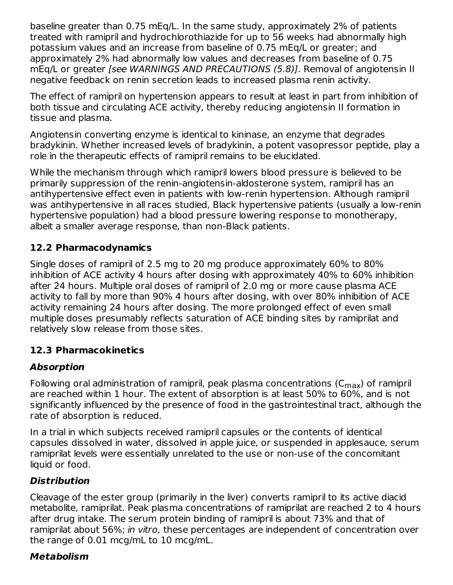baseline greater than 0.75 mEq/L. In the same study, approximately 2% of patients treated with ramipril and hydrochlorothiazide for up to 56 weeks had abnormally high potassium values and an increase from baseline of 0.75 mEq/L or greater; and approximately 2% had abnormally low values and decreases from baseline of 0.75 mEq/L or greater [see WARNINGS AND PRECAUTIONS (5.8)]. Removal of angiotensin II negative feedback on renin secretion leads to increased plasma renin activity.

The effect of ramipril on hypertension appears to result at least in part from inhibition of both tissue and circulating ACE activity, thereby reducing angiotensin II formation in tissue and plasma.

Angiotensin converting enzyme is identical to kininase, an enzyme that degrades bradykinin. Whether increased levels of bradykinin, a potent vasopressor peptide, play a role in the therapeutic effects of ramipril remains to be elucidated.

While the mechanism through which ramipril lowers blood pressure is believed to be primarily suppression of the renin-angiotensin-aldosterone system, ramipril has an antihypertensive effect even in patients with low-renin hypertension. Although ramipril was antihypertensive in all races studied, Black hypertensive patients (usually a low-renin hypertensive population) had a blood pressure lowering response to monotherapy, albeit a smaller average response, than non-Black patients.

### **12.2 Pharmacodynamics**

Single doses of ramipril of 2.5 mg to 20 mg produce approximately 60% to 80% inhibition of ACE activity 4 hours after dosing with approximately 40% to 60% inhibition after 24 hours. Multiple oral doses of ramipril of 2.0 mg or more cause plasma ACE activity to fall by more than 90% 4 hours after dosing, with over 80% inhibition of ACE activity remaining 24 hours after dosing. The more prolonged effect of even small multiple doses presumably reflects saturation of ACE binding sites by ramiprilat and relatively slow release from those sites.

#### **12.3 Pharmacokinetics**

### **Absorption**

Following oral administration of ramipril, peak plasma concentrations (C $_{\sf max}$ ) of ramipril are reached within 1 hour. The extent of absorption is at least 50% to 60%, and is not significantly influenced by the presence of food in the gastrointestinal tract, although the rate of absorption is reduced.

In a trial in which subjects received ramipril capsules or the contents of identical capsules dissolved in water, dissolved in apple juice, or suspended in applesauce, serum ramiprilat levels were essentially unrelated to the use or non-use of the concomitant liquid or food.

#### **Distribution**

Cleavage of the ester group (primarily in the liver) converts ramipril to its active diacid metabolite, ramiprilat. Peak plasma concentrations of ramiprilat are reached 2 to 4 hours after drug intake. The serum protein binding of ramipril is about 73% and that of ramiprilat about 56%; in vitro, these percentages are independent of concentration over the range of 0.01 mcg/mL to 10 mcg/mL.

#### **Metabolism**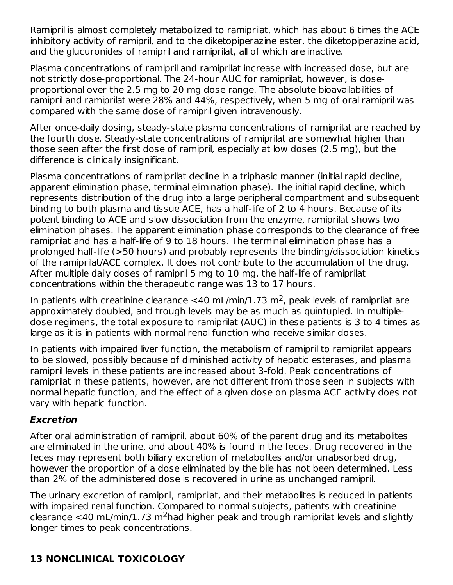Ramipril is almost completely metabolized to ramiprilat, which has about 6 times the ACE inhibitory activity of ramipril, and to the diketopiperazine ester, the diketopiperazine acid, and the glucuronides of ramipril and ramiprilat, all of which are inactive.

Plasma concentrations of ramipril and ramiprilat increase with increased dose, but are not strictly dose-proportional. The 24-hour AUC for ramiprilat, however, is doseproportional over the 2.5 mg to 20 mg dose range. The absolute bioavailabilities of ramipril and ramiprilat were 28% and 44%, respectively, when 5 mg of oral ramipril was compared with the same dose of ramipril given intravenously.

After once-daily dosing, steady-state plasma concentrations of ramiprilat are reached by the fourth dose. Steady-state concentrations of ramiprilat are somewhat higher than those seen after the first dose of ramipril, especially at low doses (2.5 mg), but the difference is clinically insignificant.

Plasma concentrations of ramiprilat decline in a triphasic manner (initial rapid decline, apparent elimination phase, terminal elimination phase). The initial rapid decline, which represents distribution of the drug into a large peripheral compartment and subsequent binding to both plasma and tissue ACE, has a half-life of 2 to 4 hours. Because of its potent binding to ACE and slow dissociation from the enzyme, ramiprilat shows two elimination phases. The apparent elimination phase corresponds to the clearance of free ramiprilat and has a half-life of 9 to 18 hours. The terminal elimination phase has a prolonged half-life (>50 hours) and probably represents the binding/dissociation kinetics of the ramiprilat/ACE complex. It does not contribute to the accumulation of the drug. After multiple daily doses of ramipril 5 mg to 10 mg, the half-life of ramiprilat concentrations within the therapeutic range was 13 to 17 hours.

In patients with creatinine clearance <40 mL/min/1.73 m<sup>2</sup>, peak levels of ramiprilat are approximately doubled, and trough levels may be as much as quintupled. In multipledose regimens, the total exposure to ramiprilat (AUC) in these patients is 3 to 4 times as large as it is in patients with normal renal function who receive similar doses.

In patients with impaired liver function, the metabolism of ramipril to ramiprilat appears to be slowed, possibly because of diminished activity of hepatic esterases, and plasma ramipril levels in these patients are increased about 3-fold. Peak concentrations of ramiprilat in these patients, however, are not different from those seen in subjects with normal hepatic function, and the effect of a given dose on plasma ACE activity does not vary with hepatic function.

### **Excretion**

After oral administration of ramipril, about 60% of the parent drug and its metabolites are eliminated in the urine, and about 40% is found in the feces. Drug recovered in the feces may represent both biliary excretion of metabolites and/or unabsorbed drug, however the proportion of a dose eliminated by the bile has not been determined. Less than 2% of the administered dose is recovered in urine as unchanged ramipril.

The urinary excretion of ramipril, ramiprilat, and their metabolites is reduced in patients with impaired renal function. Compared to normal subjects, patients with creatinine clearance <40 mL/min/1.73 m<sup>2</sup>had higher peak and trough ramiprilat levels and slightly longer times to peak concentrations.

# **13 NONCLINICAL TOXICOLOGY**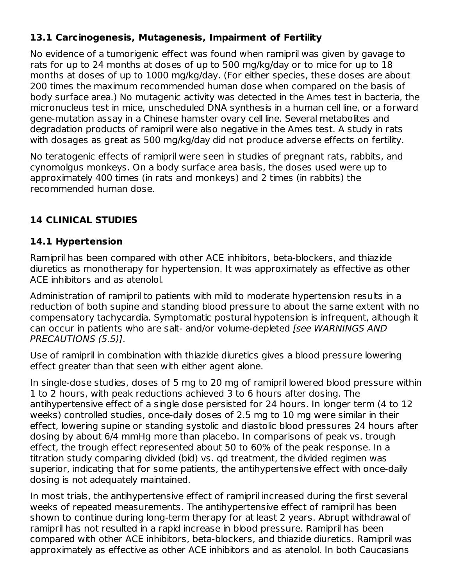### **13.1 Carcinogenesis, Mutagenesis, Impairment of Fertility**

No evidence of a tumorigenic effect was found when ramipril was given by gavage to rats for up to 24 months at doses of up to 500 mg/kg/day or to mice for up to 18 months at doses of up to 1000 mg/kg/day. (For either species, these doses are about 200 times the maximum recommended human dose when compared on the basis of body surface area.) No mutagenic activity was detected in the Ames test in bacteria, the micronucleus test in mice, unscheduled DNA synthesis in a human cell line, or a forward gene-mutation assay in a Chinese hamster ovary cell line. Several metabolites and degradation products of ramipril were also negative in the Ames test. A study in rats with dosages as great as 500 mg/kg/day did not produce adverse effects on fertility.

No teratogenic effects of ramipril were seen in studies of pregnant rats, rabbits, and cynomolgus monkeys. On a body surface area basis, the doses used were up to approximately 400 times (in rats and monkeys) and 2 times (in rabbits) the recommended human dose.

## **14 CLINICAL STUDIES**

#### **14.1 Hypertension**

Ramipril has been compared with other ACE inhibitors, beta-blockers, and thiazide diuretics as monotherapy for hypertension. It was approximately as effective as other ACE inhibitors and as atenolol.

Administration of ramipril to patients with mild to moderate hypertension results in a reduction of both supine and standing blood pressure to about the same extent with no compensatory tachycardia. Symptomatic postural hypotension is infrequent, although it can occur in patients who are salt- and/or volume-depleted [see WARNINGS AND PRECAUTIONS (5.5)].

Use of ramipril in combination with thiazide diuretics gives a blood pressure lowering effect greater than that seen with either agent alone.

In single-dose studies, doses of 5 mg to 20 mg of ramipril lowered blood pressure within 1 to 2 hours, with peak reductions achieved 3 to 6 hours after dosing. The antihypertensive effect of a single dose persisted for 24 hours. In longer term (4 to 12 weeks) controlled studies, once-daily doses of 2.5 mg to 10 mg were similar in their effect, lowering supine or standing systolic and diastolic blood pressures 24 hours after dosing by about 6/4 mmHg more than placebo. In comparisons of peak vs. trough effect, the trough effect represented about 50 to 60% of the peak response. In a titration study comparing divided (bid) vs. qd treatment, the divided regimen was superior, indicating that for some patients, the antihypertensive effect with once-daily dosing is not adequately maintained.

In most trials, the antihypertensive effect of ramipril increased during the first several weeks of repeated measurements. The antihypertensive effect of ramipril has been shown to continue during long-term therapy for at least 2 years. Abrupt withdrawal of ramipril has not resulted in a rapid increase in blood pressure. Ramipril has been compared with other ACE inhibitors, beta-blockers, and thiazide diuretics. Ramipril was approximately as effective as other ACE inhibitors and as atenolol. In both Caucasians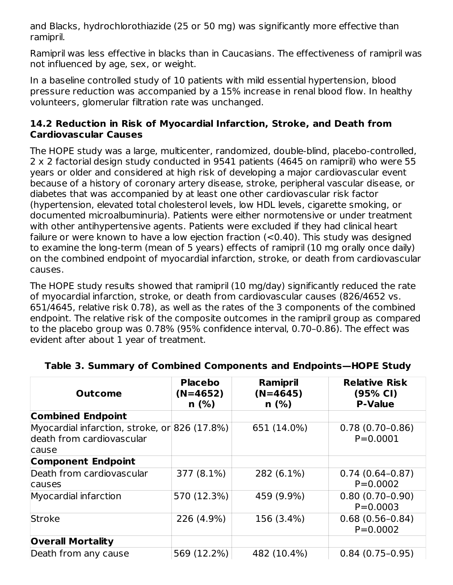and Blacks, hydrochlorothiazide (25 or 50 mg) was significantly more effective than ramipril.

Ramipril was less effective in blacks than in Caucasians. The effectiveness of ramipril was not influenced by age, sex, or weight.

In a baseline controlled study of 10 patients with mild essential hypertension, blood pressure reduction was accompanied by a 15% increase in renal blood flow. In healthy volunteers, glomerular filtration rate was unchanged.

#### **14.2 Reduction in Risk of Myocardial Infarction, Stroke, and Death from Cardiovascular Causes**

The HOPE study was a large, multicenter, randomized, double-blind, placebo-controlled, 2 x 2 factorial design study conducted in 9541 patients (4645 on ramipril) who were 55 years or older and considered at high risk of developing a major cardiovascular event because of a history of coronary artery disease, stroke, peripheral vascular disease, or diabetes that was accompanied by at least one other cardiovascular risk factor (hypertension, elevated total cholesterol levels, low HDL levels, cigarette smoking, or documented microalbuminuria). Patients were either normotensive or under treatment with other antihypertensive agents. Patients were excluded if they had clinical heart failure or were known to have a low ejection fraction (<0.40). This study was designed to examine the long-term (mean of 5 years) effects of ramipril (10 mg orally once daily) on the combined endpoint of myocardial infarction, stroke, or death from cardiovascular causes.

The HOPE study results showed that ramipril (10 mg/day) significantly reduced the rate of myocardial infarction, stroke, or death from cardiovascular causes (826/4652 vs. 651/4645, relative risk 0.78), as well as the rates of the 3 components of the combined endpoint. The relative risk of the composite outcomes in the ramipril group as compared to the placebo group was 0.78% (95% confidence interval, 0.70–0.86). The effect was evident after about 1 year of treatment.

| <b>Outcome</b>                                                                      | Ramipril<br><b>Placebo</b><br>$(N=4645)$<br>$(N=4652)$<br>n(%)<br>n(%) |             | <b>Relative Risk</b><br>(95% CI)<br><b>P-Value</b> |  |  |
|-------------------------------------------------------------------------------------|------------------------------------------------------------------------|-------------|----------------------------------------------------|--|--|
| <b>Combined Endpoint</b>                                                            |                                                                        |             |                                                    |  |  |
| Myocardial infarction, stroke, or 826 (17.8%)<br>death from cardiovascular<br>cause |                                                                        | 651 (14.0%) | $0.78(0.70-0.86)$<br>$P = 0.0001$                  |  |  |
| <b>Component Endpoint</b>                                                           |                                                                        |             |                                                    |  |  |
| Death from cardiovascular<br>causes                                                 | 377 (8.1%)                                                             | 282 (6.1%)  | $0.74(0.64-0.87)$<br>$P = 0.0002$                  |  |  |
| Myocardial infarction                                                               | 570 (12.3%)                                                            | 459 (9.9%)  | $0.80(0.70-0.90)$<br>$P = 0.0003$                  |  |  |
| Stroke                                                                              | 226 (4.9%)                                                             | 156 (3.4%)  | $0.68(0.56 - 0.84)$<br>$P = 0.0002$                |  |  |
| <b>Overall Mortality</b>                                                            |                                                                        |             |                                                    |  |  |
| Death from any cause                                                                | 569 (12.2%)                                                            | 482 (10.4%) | $0.84(0.75-0.95)$                                  |  |  |

#### **Table 3. Summary of Combined Components and Endpoints—HOPE Study**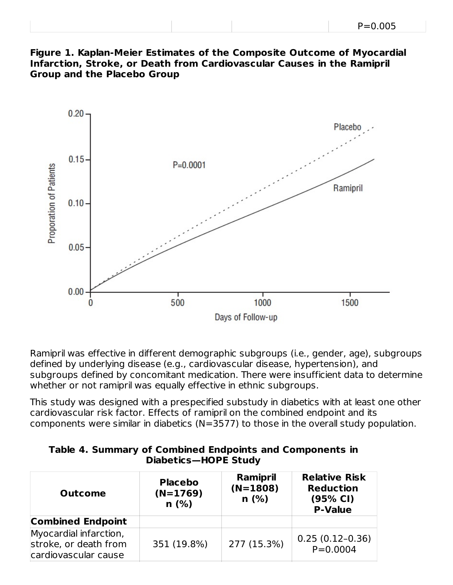| $P = 0.005$ |  |
|-------------|--|
|-------------|--|





Ramipril was effective in different demographic subgroups (i.e., gender, age), subgroups defined by underlying disease (e.g., cardiovascular disease, hypertension), and subgroups defined by concomitant medication. There were insufficient data to determine whether or not ramipril was equally effective in ethnic subgroups.

This study was designed with a prespecified substudy in diabetics with at least one other cardiovascular risk factor. Effects of ramipril on the combined endpoint and its components were similar in diabetics (N=3577) to those in the overall study population.

| Table 4. Summary of Combined Endpoints and Components in |  |
|----------------------------------------------------------|--|
| Diabetics-HOPE Study                                     |  |

| <b>Outcome</b>                                                          | <b>Placebo</b><br>$(N=1769)$<br>n(%) | Ramipril<br>$(N=1808)$<br>n(%) | <b>Relative Risk</b><br><b>Reduction</b><br>(95% CI)<br><b>P-Value</b> |  |  |
|-------------------------------------------------------------------------|--------------------------------------|--------------------------------|------------------------------------------------------------------------|--|--|
| <b>Combined Endpoint</b>                                                |                                      |                                |                                                                        |  |  |
| Myocardial infarction,<br>stroke, or death from<br>cardiovascular cause | 351 (19.8%)                          | 277 (15.3%)                    | $0.25(0.12-0.36)$<br>$P = 0.0004$                                      |  |  |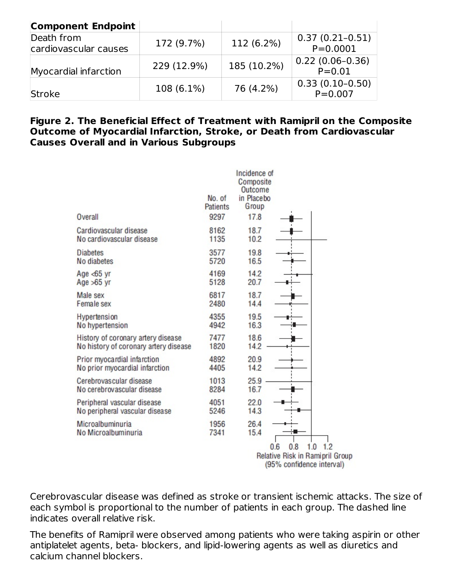| <b>Component Endpoint</b>           |             |             |                                   |
|-------------------------------------|-------------|-------------|-----------------------------------|
| Death from<br>cardiovascular causes | 172 (9.7%)  | 112 (6.2%)  | $0.37(0.21-0.51)$<br>$P = 0.0001$ |
| Myocardial infarction               | 229 (12.9%) | 185 (10.2%) | $0.22(0.06-0.36)$<br>$P = 0.01$   |
| Stroke                              | 108 (6.1%)  | 76 (4.2%)   | $0.33(0.10-0.50)$<br>$P = 0.007$  |

#### **Figure 2. The Beneficial Effect of Treatment with Ramipril on the Composite Outcome of Myocardial Infarction, Stroke, or Death from Cardiovascular Causes Overall and in Various Subgroups**

| Overall                               | No. of<br><b>Patients</b><br>9297 | Incidence of<br>Composite<br>Outcome<br>in Placebo<br>Group<br>17.8 |                                                                                          |
|---------------------------------------|-----------------------------------|---------------------------------------------------------------------|------------------------------------------------------------------------------------------|
| Cardiovascular disease                | 8162                              | 18.7                                                                |                                                                                          |
| No cardiovascular disease             | 1135                              | 10.2                                                                |                                                                                          |
| <b>Diabetes</b>                       | 3577                              | 19.8                                                                |                                                                                          |
| No diabetes                           | 5720                              | 16.5                                                                |                                                                                          |
| Age $<$ 65 yr                         | 4169                              | 14.2                                                                |                                                                                          |
| Age $>65$ yr                          | 5128                              | 20.7                                                                |                                                                                          |
| Male sex                              | 6817                              | 18.7                                                                |                                                                                          |
| Female sex                            | 2480                              | 14.4                                                                |                                                                                          |
| Hypertension                          | 4355                              | 19.5                                                                |                                                                                          |
| No hypertension                       | 4942                              | 16.3                                                                |                                                                                          |
| History of coronary artery disease    | 7477                              | 18.6                                                                |                                                                                          |
| No history of coronary artery disease | 1820                              | 14.2                                                                |                                                                                          |
| Prior myocardial infarction           | 4892                              | 20.9                                                                |                                                                                          |
| No prior myocardial infarction        | 4405                              | 14.2                                                                |                                                                                          |
| Cerebrovascular disease               | 1013                              | 25.9                                                                |                                                                                          |
| No cerebrovascular disease            | 8284                              | 16.7                                                                |                                                                                          |
| Peripheral vascular disease           | 4051                              | 22.0                                                                |                                                                                          |
| No peripheral vascular disease        | 5246                              | 14.3                                                                |                                                                                          |
| Microalbuminuria                      | 1956                              | 26.4                                                                |                                                                                          |
| No Microalbuminuria                   | 7341                              | 15.4                                                                |                                                                                          |
|                                       |                                   |                                                                     | 0.8<br>1.2<br>0.6<br>1.0<br>Relative Risk in Ramipril Group<br>(95% confidence interval) |

Cerebrovascular disease was defined as stroke or transient ischemic attacks. The size of each symbol is proportional to the number of patients in each group. The dashed line indicates overall relative risk.

The benefits of Ramipril were observed among patients who were taking aspirin or other antiplatelet agents, beta- blockers, and lipid-lowering agents as well as diuretics and calcium channel blockers.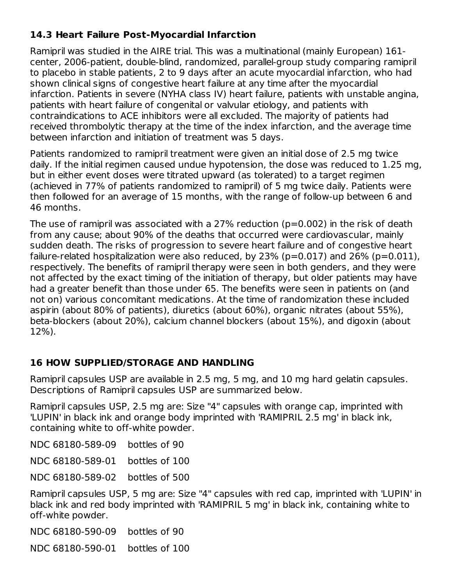### **14.3 Heart Failure Post-Myocardial Infarction**

Ramipril was studied in the AIRE trial. This was a multinational (mainly European) 161 center, 2006-patient, double-blind, randomized, parallel-group study comparing ramipril to placebo in stable patients, 2 to 9 days after an acute myocardial infarction, who had shown clinical signs of congestive heart failure at any time after the myocardial infarction. Patients in severe (NYHA class IV) heart failure, patients with unstable angina, patients with heart failure of congenital or valvular etiology, and patients with contraindications to ACE inhibitors were all excluded. The majority of patients had received thrombolytic therapy at the time of the index infarction, and the average time between infarction and initiation of treatment was 5 days.

Patients randomized to ramipril treatment were given an initial dose of 2.5 mg twice daily. If the initial regimen caused undue hypotension, the dose was reduced to 1.25 mg, but in either event doses were titrated upward (as tolerated) to a target regimen (achieved in 77% of patients randomized to ramipril) of 5 mg twice daily. Patients were then followed for an average of 15 months, with the range of follow-up between 6 and 46 months.

The use of ramipril was associated with a 27% reduction (p=0.002) in the risk of death from any cause; about 90% of the deaths that occurred were cardiovascular, mainly sudden death. The risks of progression to severe heart failure and of congestive heart failure-related hospitalization were also reduced, by 23% ( $p=0.017$ ) and 26% ( $p=0.011$ ), respectively. The benefits of ramipril therapy were seen in both genders, and they were not affected by the exact timing of the initiation of therapy, but older patients may have had a greater benefit than those under 65. The benefits were seen in patients on (and not on) various concomitant medications. At the time of randomization these included aspirin (about 80% of patients), diuretics (about 60%), organic nitrates (about 55%), beta-blockers (about 20%), calcium channel blockers (about 15%), and digoxin (about 12%).

## **16 HOW SUPPLIED/STORAGE AND HANDLING**

Ramipril capsules USP are available in 2.5 mg, 5 mg, and 10 mg hard gelatin capsules. Descriptions of Ramipril capsules USP are summarized below.

Ramipril capsules USP, 2.5 mg are: Size "4" capsules with orange cap, imprinted with 'LUPIN' in black ink and orange body imprinted with 'RAMIPRIL 2.5 mg' in black ink, containing white to off-white powder.

NDC 68180-589-09 bottles of 90

NDC 68180-589-01 bottles of 100

NDC 68180-589-02 bottles of 500

Ramipril capsules USP, 5 mg are: Size "4" capsules with red cap, imprinted with 'LUPIN' in black ink and red body imprinted with 'RAMIPRIL 5 mg' in black ink, containing white to off-white powder.

NDC 68180-590-09 bottles of 90

NDC 68180-590-01 bottles of 100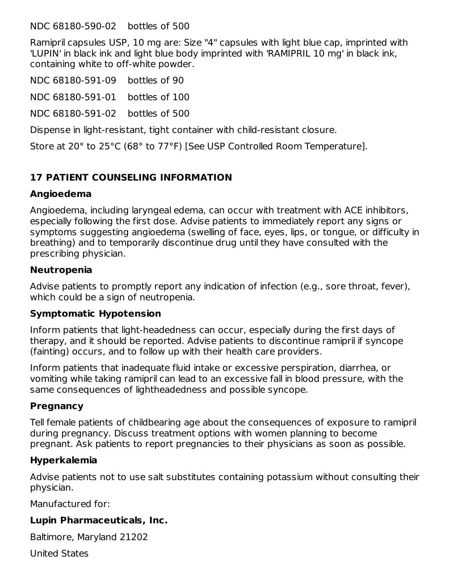NDC 68180-590-02 bottles of 500

Ramipril capsules USP, 10 mg are: Size "4" capsules with light blue cap, imprinted with 'LUPIN' in black ink and light blue body imprinted with 'RAMIPRIL 10 mg' in black ink, containing white to off-white powder.

NDC 68180-591-09 bottles of 90

NDC 68180-591-01 bottles of 100

NDC 68180-591-02 bottles of 500

Dispense in light-resistant, tight container with child-resistant closure.

Store at 20° to 25°C (68° to 77°F) [See USP Controlled Room Temperature].

### **17 PATIENT COUNSELING INFORMATION**

#### **Angioedema**

Angioedema, including laryngeal edema, can occur with treatment with ACE inhibitors, especially following the first dose. Advise patients to immediately report any signs or symptoms suggesting angioedema (swelling of face, eyes, lips, or tongue, or difficulty in breathing) and to temporarily discontinue drug until they have consulted with the prescribing physician.

#### **Neutropenia**

Advise patients to promptly report any indication of infection (e.g., sore throat, fever), which could be a sign of neutropenia.

#### **Symptomatic Hypotension**

Inform patients that light-headedness can occur, especially during the first days of therapy, and it should be reported. Advise patients to discontinue ramipril if syncope (fainting) occurs, and to follow up with their health care providers.

Inform patients that inadequate fluid intake or excessive perspiration, diarrhea, or vomiting while taking ramipril can lead to an excessive fall in blood pressure, with the same consequences of lightheadedness and possible syncope.

#### **Pregnancy**

Tell female patients of childbearing age about the consequences of exposure to ramipril during pregnancy. Discuss treatment options with women planning to become pregnant. Ask patients to report pregnancies to their physicians as soon as possible.

#### **Hyperkalemia**

Advise patients not to use salt substitutes containing potassium without consulting their physician.

Manufactured for:

#### **Lupin Pharmaceuticals, Inc.**

Baltimore, Maryland 21202

United States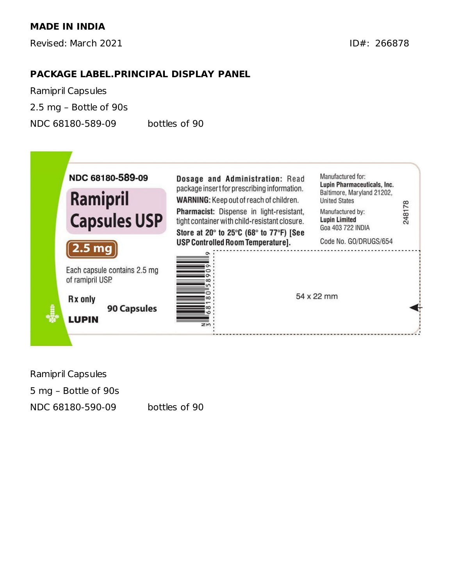Revised: March 2021 **ID#: 266878** 

#### **PACKAGE LABEL.PRINCIPAL DISPLAY PANEL**

Ramipril Capsules 2.5 mg – Bottle of 90s NDC 68180-589-09 bottles of 90



| Ramipril Capsules    |  |
|----------------------|--|
| 5 mg – Bottle of 90s |  |
| NDC 68180-590-09     |  |

bottles of 90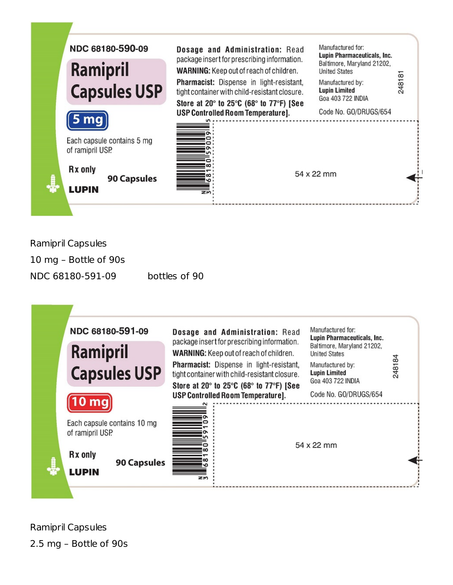

Ramipril Capsules

10 mg – Bottle of 90s

NDC 68180-591-09 bottles of 90



Ramipril Capsules 2.5 mg – Bottle of 90s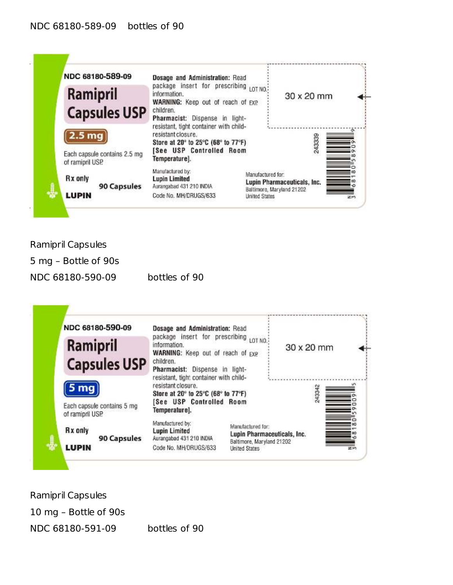

Ramipril Capsules 5 mg – Bottle of 90s NDC 68180-590-09 bottles of 90



Ramipril Capsules 10 mg – Bottle of 90s NDC 68180-591-09 bottles of 90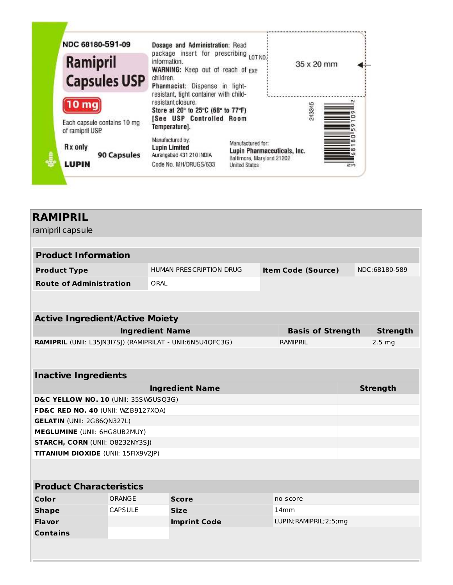

| <b>RAMIPRIL</b>                                            |                |                                |  |                           |                   |
|------------------------------------------------------------|----------------|--------------------------------|--|---------------------------|-------------------|
| ramipril capsule                                           |                |                                |  |                           |                   |
| <b>Product Information</b>                                 |                |                                |  |                           |                   |
|                                                            |                |                                |  |                           |                   |
| <b>Product Type</b>                                        |                | <b>HUMAN PRESCRIPTION DRUG</b> |  | <b>Item Code (Source)</b> | NDC:68180-589     |
| <b>Route of Administration</b>                             |                | <b>ORAL</b>                    |  |                           |                   |
|                                                            |                |                                |  |                           |                   |
| <b>Active Ingredient/Active Moiety</b>                     |                |                                |  |                           |                   |
|                                                            |                | <b>Ingredient Name</b>         |  | <b>Basis of Strength</b>  | <b>Strength</b>   |
| RAMIPRIL (UNII: L35JN3I7SJ) (RAMIPRILAT - UNII:6N5U4QFC3G) |                |                                |  | <b>RAMIPRIL</b>           | 2.5 <sub>mg</sub> |
|                                                            |                |                                |  |                           |                   |
|                                                            |                |                                |  |                           |                   |
| <b>Inactive Ingredients</b>                                |                |                                |  |                           |                   |
|                                                            |                | <b>Ingredient Name</b>         |  |                           | <b>Strength</b>   |
| D&C YELLOW NO. 10 (UNII: 35SW5USQ3G)                       |                |                                |  |                           |                   |
| FD&C RED NO. 40 (UNII: WZB9127XOA)                         |                |                                |  |                           |                   |
| <b>GELATIN (UNII: 2G86QN327L)</b>                          |                |                                |  |                           |                   |
| MEGLUMINE (UNII: 6HG8UB2MUY)                               |                |                                |  |                           |                   |
| <b>STARCH, CORN (UNII: O8232NY3SJ)</b>                     |                |                                |  |                           |                   |
| TITANIUM DIOXIDE (UNII: 15FIX9V2JP)                        |                |                                |  |                           |                   |
|                                                            |                |                                |  |                           |                   |
| <b>Product Characteristics</b>                             |                |                                |  |                           |                   |
| Color                                                      | ORANGE         | <b>Score</b>                   |  | no score                  |                   |
| <b>Shape</b>                                               | <b>CAPSULE</b> | <b>Size</b>                    |  | 14mm                      |                   |
| <b>Flavor</b>                                              |                | <b>Imprint Code</b>            |  | LUPIN; RAMIPRIL; 2; 5; mg |                   |
| <b>Contains</b>                                            |                |                                |  |                           |                   |
|                                                            |                |                                |  |                           |                   |
|                                                            |                |                                |  |                           |                   |

J

L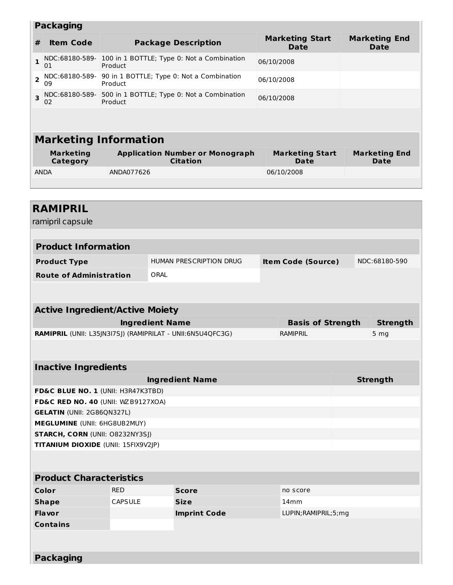|                         | <b>Packaging</b>                                                                    |                |                                                                         |                                       |  |  |                                     |  |
|-------------------------|-------------------------------------------------------------------------------------|----------------|-------------------------------------------------------------------------|---------------------------------------|--|--|-------------------------------------|--|
| #                       | <b>Item Code</b>                                                                    |                | <b>Package Description</b>                                              | <b>Marketing Start</b><br><b>Date</b> |  |  | <b>Marketing End</b><br><b>Date</b> |  |
| $\mathbf{1}$            | 01                                                                                  | Product        | NDC:68180-589- 100 in 1 BOTTLE; Type 0: Not a Combination<br>06/10/2008 |                                       |  |  |                                     |  |
| $\overline{\mathbf{c}}$ | NDC:68180-589- 90 in 1 BOTTLE; Type 0: Not a Combination<br>Product<br>09           |                |                                                                         | 06/10/2008                            |  |  |                                     |  |
| 3                       | 02                                                                                  | Product        | NDC:68180-589- 500 in 1 BOTTLE; Type 0: Not a Combination               | 06/10/2008                            |  |  |                                     |  |
|                         |                                                                                     |                |                                                                         |                                       |  |  |                                     |  |
|                         | <b>Marketing Information</b>                                                        |                |                                                                         |                                       |  |  |                                     |  |
|                         | <b>Marketing</b><br>Category                                                        |                | <b>Application Number or Monograph</b><br><b>Citation</b>               | <b>Marketing Start</b><br><b>Date</b> |  |  | <b>Marketing End</b><br>Date        |  |
|                         | <b>ANDA</b>                                                                         | ANDA077626     |                                                                         | 06/10/2008                            |  |  |                                     |  |
|                         |                                                                                     |                |                                                                         |                                       |  |  |                                     |  |
|                         |                                                                                     |                |                                                                         |                                       |  |  |                                     |  |
|                         | <b>RAMIPRIL</b>                                                                     |                |                                                                         |                                       |  |  |                                     |  |
|                         | ramipril capsule                                                                    |                |                                                                         |                                       |  |  |                                     |  |
|                         |                                                                                     |                |                                                                         |                                       |  |  |                                     |  |
|                         | <b>Product Information</b>                                                          |                |                                                                         |                                       |  |  |                                     |  |
|                         |                                                                                     |                |                                                                         |                                       |  |  |                                     |  |
|                         | <b>Product Type</b>                                                                 |                | HUMAN PRESCRIPTION DRUG                                                 | <b>Item Code (Source)</b>             |  |  | NDC:68180-590                       |  |
|                         | <b>Route of Administration</b>                                                      |                | ORAL                                                                    |                                       |  |  |                                     |  |
|                         |                                                                                     |                |                                                                         |                                       |  |  |                                     |  |
|                         |                                                                                     |                |                                                                         |                                       |  |  |                                     |  |
|                         | <b>Active Ingredient/Active Moiety</b>                                              |                |                                                                         |                                       |  |  |                                     |  |
|                         |                                                                                     |                | <b>Ingredient Name</b>                                                  | <b>Basis of Strength</b>              |  |  | <b>Strength</b>                     |  |
|                         |                                                                                     |                | RAMIPRIL (UNII: L35JN3I7SJ) (RAMIPRILAT - UNII:6N5U4QFC3G)              | <b>RAMIPRIL</b>                       |  |  | 5 <sub>mg</sub>                     |  |
|                         |                                                                                     |                |                                                                         |                                       |  |  |                                     |  |
|                         |                                                                                     |                |                                                                         |                                       |  |  |                                     |  |
|                         | <b>Inactive Ingredients</b>                                                         |                |                                                                         |                                       |  |  |                                     |  |
|                         |                                                                                     |                | <b>Ingredient Name</b>                                                  |                                       |  |  | <b>Strength</b>                     |  |
|                         | FD&C BLUE NO. 1 (UNII: H3R47K3TBD)<br><b>FD&amp;C RED NO. 40 (UNII: WZB9127XOA)</b> |                |                                                                         |                                       |  |  |                                     |  |
|                         | <b>GELATIN (UNII: 2G86QN327L)</b>                                                   |                |                                                                         |                                       |  |  |                                     |  |
|                         | MEGLUMINE (UNII: 6HG8UB2MUY)                                                        |                |                                                                         |                                       |  |  |                                     |  |
|                         | <b>STARCH, CORN (UNII: O8232NY3SJ)</b>                                              |                |                                                                         |                                       |  |  |                                     |  |
|                         | TITANIUM DIOXIDE (UNII: 15FIX9V2JP)                                                 |                |                                                                         |                                       |  |  |                                     |  |
|                         |                                                                                     |                |                                                                         |                                       |  |  |                                     |  |
|                         | <b>Product Characteristics</b>                                                      |                |                                                                         |                                       |  |  |                                     |  |
|                         | <b>Color</b>                                                                        | <b>RED</b>     | <b>Score</b>                                                            | no score                              |  |  |                                     |  |
|                         | <b>Shape</b>                                                                        | <b>CAPSULE</b> | <b>Size</b>                                                             | 14 <sub>mm</sub>                      |  |  |                                     |  |
|                         | Flavor                                                                              |                | <b>Imprint Code</b>                                                     | LUPIN; RAMIPRIL; 5; mg                |  |  |                                     |  |
|                         | <b>Contains</b>                                                                     |                |                                                                         |                                       |  |  |                                     |  |
|                         |                                                                                     |                |                                                                         |                                       |  |  |                                     |  |
|                         |                                                                                     |                |                                                                         |                                       |  |  |                                     |  |
|                         | <b>Packaging</b>                                                                    |                |                                                                         |                                       |  |  |                                     |  |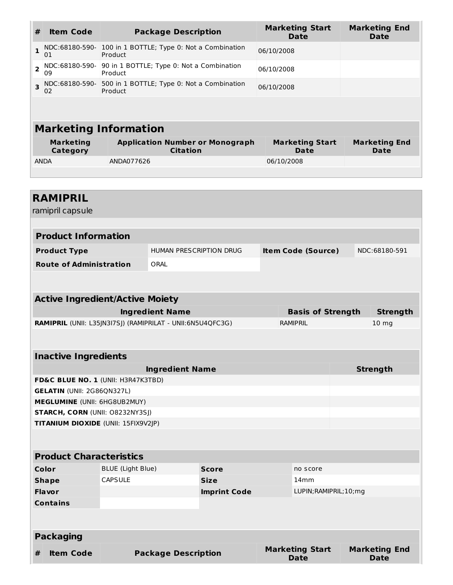| #                       | <b>Item Code</b>             | <b>Package Description</b>                                | <b>Marketing Start</b><br><b>Date</b> | <b>Marketing End</b><br><b>Date</b> |  |  |
|-------------------------|------------------------------|-----------------------------------------------------------|---------------------------------------|-------------------------------------|--|--|
| $\mathbf{1}$            | NDC:68180-590-<br>01         | 100 in 1 BOTTLE; Type 0: Not a Combination<br>Product     | 06/10/2008                            |                                     |  |  |
| $\overline{2}$          | NDC:68180-590-<br>09         | 90 in 1 BOTTLE; Type 0: Not a Combination<br>Product      | 06/10/2008                            |                                     |  |  |
| $\overline{\mathbf{z}}$ | NDC:68180-590-<br>02         | 500 in 1 BOTTLE; Type 0: Not a Combination<br>Product     | 06/10/2008                            |                                     |  |  |
|                         |                              |                                                           |                                       |                                     |  |  |
|                         | <b>Marketing Information</b> |                                                           |                                       |                                     |  |  |
|                         | <b>Marketing</b><br>Category | <b>Application Number or Monograph</b><br><b>Citation</b> | <b>Marketing Start</b><br>Date        | <b>Marketing End</b><br>Date        |  |  |
|                         | <b>ANDA</b>                  | ANDA077626                                                | 06/10/2008                            |                                     |  |  |
|                         |                              |                                                           |                                       |                                     |  |  |

| <b>RAMIPRIL</b>                                            |                                        |                            |                     |  |                                       |  |                                     |  |
|------------------------------------------------------------|----------------------------------------|----------------------------|---------------------|--|---------------------------------------|--|-------------------------------------|--|
| ramipril capsule                                           |                                        |                            |                     |  |                                       |  |                                     |  |
| <b>Product Information</b>                                 |                                        |                            |                     |  |                                       |  |                                     |  |
|                                                            |                                        |                            |                     |  |                                       |  |                                     |  |
| <b>Product Type</b>                                        |                                        | HUMAN PRESCRIPTION DRUG    |                     |  | <b>Item Code (Source)</b>             |  | NDC:68180-591                       |  |
| <b>Route of Administration</b>                             |                                        | ORAL                       |                     |  |                                       |  |                                     |  |
|                                                            |                                        |                            |                     |  |                                       |  |                                     |  |
|                                                            | <b>Active Ingredient/Active Moiety</b> |                            |                     |  |                                       |  |                                     |  |
|                                                            |                                        | <b>Ingredient Name</b>     |                     |  | <b>Basis of Strength</b>              |  | <b>Strength</b>                     |  |
| RAMIPRIL (UNII: L35JN3I7SJ) (RAMIPRILAT - UNII:6N5U4QFC3G) |                                        |                            |                     |  | <b>RAMIPRIL</b>                       |  | 10 <sub>mg</sub>                    |  |
|                                                            |                                        |                            |                     |  |                                       |  |                                     |  |
| <b>Inactive Ingredients</b>                                |                                        |                            |                     |  |                                       |  |                                     |  |
|                                                            |                                        | <b>Ingredient Name</b>     |                     |  |                                       |  | <b>Strength</b>                     |  |
| FD&C BLUE NO. 1 (UNII: H3R47K3TBD)                         |                                        |                            |                     |  |                                       |  |                                     |  |
|                                                            | <b>GELATIN (UNII: 2G86QN327L)</b>      |                            |                     |  |                                       |  |                                     |  |
|                                                            | MEGLUMINE (UNII: 6HG8UB2MUY)           |                            |                     |  |                                       |  |                                     |  |
| STARCH, CORN (UNII: O8232NY3SJ)                            |                                        |                            |                     |  |                                       |  |                                     |  |
| TITANIUM DIOXIDE (UNII: 15FIX9V2JP)                        |                                        |                            |                     |  |                                       |  |                                     |  |
|                                                            |                                        |                            |                     |  |                                       |  |                                     |  |
| <b>Product Characteristics</b>                             |                                        |                            |                     |  |                                       |  |                                     |  |
| Color                                                      | <b>BLUE</b> (Light Blue)               |                            | <b>Score</b>        |  | no score                              |  |                                     |  |
| <b>CAPSULE</b><br><b>Shape</b>                             |                                        |                            | <b>Size</b>         |  | 14mm                                  |  |                                     |  |
| <b>Flavor</b>                                              |                                        |                            | <b>Imprint Code</b> |  | LUPIN; RAMIPRIL; 10; mg               |  |                                     |  |
| <b>Contains</b>                                            |                                        |                            |                     |  |                                       |  |                                     |  |
|                                                            |                                        |                            |                     |  |                                       |  |                                     |  |
| <b>Packaging</b>                                           |                                        |                            |                     |  |                                       |  |                                     |  |
| <b>Item Code</b><br>#                                      |                                        | <b>Package Description</b> |                     |  | <b>Marketing Start</b><br><b>Date</b> |  | <b>Marketing End</b><br><b>Date</b> |  |